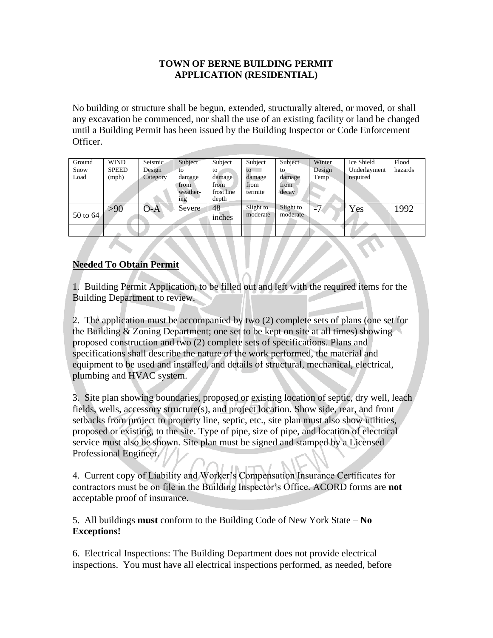### **TOWN OF BERNE BUILDING PERMIT APPLICATION (RESIDENTIAL)**

No building or structure shall be begun, extended, structurally altered, or moved, or shall any excavation be commenced, nor shall the use of an existing facility or land be changed until a Building Permit has been issued by the Building Inspector or Code Enforcement Officer.

| Ground   | <b>WIND</b>  | Seismic  | Subject         | Subject    | Subject      | Subject   | Winter | Ice Shield   | Flood   |
|----------|--------------|----------|-----------------|------------|--------------|-----------|--------|--------------|---------|
| Snow     | <b>SPEED</b> | Design   | tο              | to.        | $\mathbf{t}$ | to        | Design | Underlayment | hazards |
| Load     | (mph)        | Category | damage          | damage     | damage       | damage    | Temp   | required     |         |
|          |              |          | from            | from       | from         | from      |        |              |         |
|          |              |          | weather-        | frost line | termite      | decay     |        |              |         |
|          |              |          | 1 <sub>ng</sub> | depth      |              |           |        |              |         |
|          | >90          | $O-A$    | Severe          | 48         | Slight to    | Slight to | -7     | Yes          | 1992    |
| 50 to 64 |              |          |                 | inches     | moderate     | moderate  |        |              |         |
|          |              |          |                 |            |              |           |        |              |         |
|          |              |          |                 |            |              |           |        |              |         |
|          |              |          |                 |            |              |           |        |              |         |

## **Needed To Obtain Permit**

1. Building Permit Application, to be filled out and left with the required items for the Building Department to review.

2. The application must be accompanied by two (2) complete sets of plans (one set for the Building & Zoning Department; one set to be kept on site at all times) showing proposed construction and two (2) complete sets of specifications. Plans and specifications shall describe the nature of the work performed, the material and equipment to be used and installed, and details of structural, mechanical, electrical, plumbing and HVAC system.

3. Site plan showing boundaries, proposed or existing location of septic, dry well, leach fields, wells, accessory structure(s), and project location. Show side, rear, and front setbacks from project to property line, septic, etc., site plan must also show utilities, proposed or existing, to the site. Type of pipe, size of pipe, and location of electrical service must also be shown. Site plan must be signed and stamped by a Licensed Professional Engineer.

4. Current copy of Liability and Worker's Compensation Insurance Certificates for contractors must be on file in the Building Inspector's Office. ACORD forms are **not** acceptable proof of insurance.

5. All buildings **must** conform to the Building Code of New York State – **No Exceptions!**

6. Electrical Inspections: The Building Department does not provide electrical inspections. You must have all electrical inspections performed, as needed, before